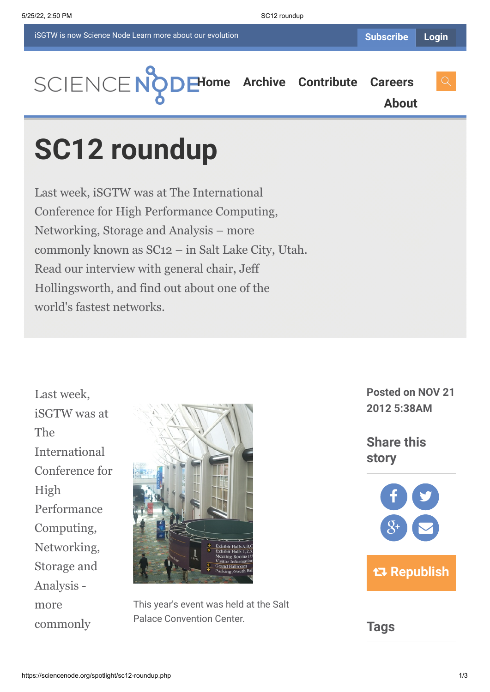

**[About](https://sciencenode.org/about/index.php)**

# **SC12 roundup**

Last week, iSGTW was at The International Conference for High Performance Computing, Networking, Storage and Analysis – more commonly known as SC12 – in Salt Lake City, Utah. Read our interview with general chair, Jeff Hollingsworth, and find out about one of the world's fastest networks.

Last week, iSGTW was at The International Conference for High Performance Computing, Networking, Storage and Analysis more commonly



This year's event was held at the Salt Palace Convention Center.

**Posted on NOV 21 2012 5:38AM**

**Share this story**



**Tags**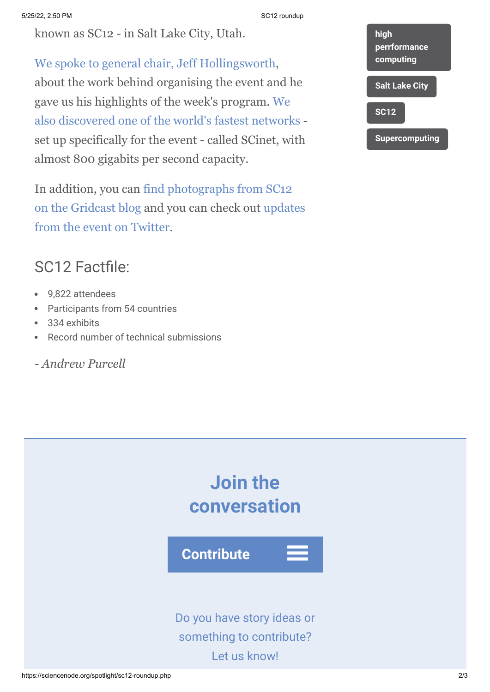known as SC12 - in Salt Lake City, Utah.

[We spoke to general chair, Jeff Hollingsworth](http://gridtalk-project.blogspot.com/2012/11/this-week-isgtw-is-at-sc12.html), about the work behind organising the event and he gave us his highlights of the week's program. We [also discovered one of the world's fastest networks](http://gridtalk-project.blogspot.com/2012/11/salt-lake-city-plays-host-to-sc12.html) set up specifically for the event - called SCinet, with almost 800 gigabits per second capacity.

In addition, you can find photographs from SC12 [on the Gridcast blog and you can check out upda](http://gridtalk-project.blogspot.com/2012/11/supercomputing-2012in-pictures.html)[tes](https://twitter.com/search?q=%23sc12&src=hash) from the event on Twitter.

## SC12 Factfile:

- 9,822 attendees  $\bullet$
- Participants from 54 countries  $\bullet$
- 334 exhibits
- Record number of technical submissions  $\bullet$
- *Andrew Purcell*